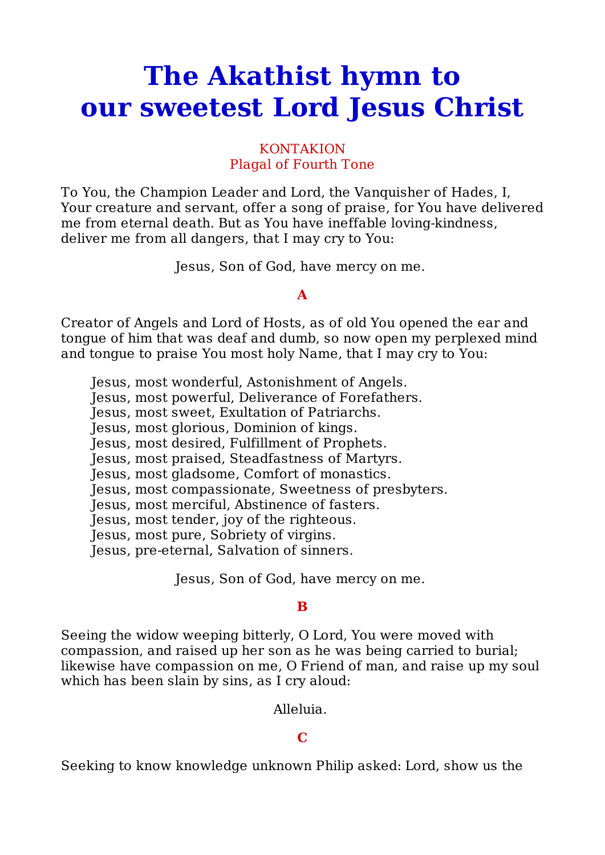# **The Akathist hymn to our sweetest Lord Jesus Christ**

## KONTAKION Plagal of Fourth Tone

To You, the Champion Leader and Lord, the Vanquisher of Hades, I, Your creature and servant, offer a song of praise, for You have delivered me from eternal death. But as You have ineffable loving-kindness, deliver me from all dangers, that I may cry to You:

Jesus, Son of God, have mercy on me.

## **A**

Creator of Angels and Lord of Hosts, as of old You opened the ear and tongue of him that was deaf and dumb, so now open my perplexed mind and tongue to praise You most holy Name, that I may cry to You:

Jesus, most wonderful, Astonishment of Angels.

Jesus, most powerful, Deliverance of Forefathers.

Jesus, most sweet, Exultation of Patriarchs.

Jesus, most glorious, Dominion of kings.

Jesus, most desired, Fulfillment of Prophets.

Jesus, most praised, Steadfastness of Martyrs.

Jesus, most gladsome, Comfort of monastics.

Jesus, most compassionate, Sweetness of presbyters.

Jesus, most merciful, Abstinence of fasters.

Jesus, most tender, joy of the righteous.

Jesus, most pure, Sobriety of virgins.

Jesus, pre-eternal, Salvation of sinners.

Jesus, Son of God, have mercy on me.

# **B**

Seeing the widow weeping bitterly, O Lord, You were moved with compassion, and raised up her son as he was being carried to burial; likewise have compassion on me, O Friend of man, and raise up my soul which has been slain by sins, as I cry aloud:

Alleluia.

# **C**

Seeking to know knowledge unknown Philip asked: Lord, show us the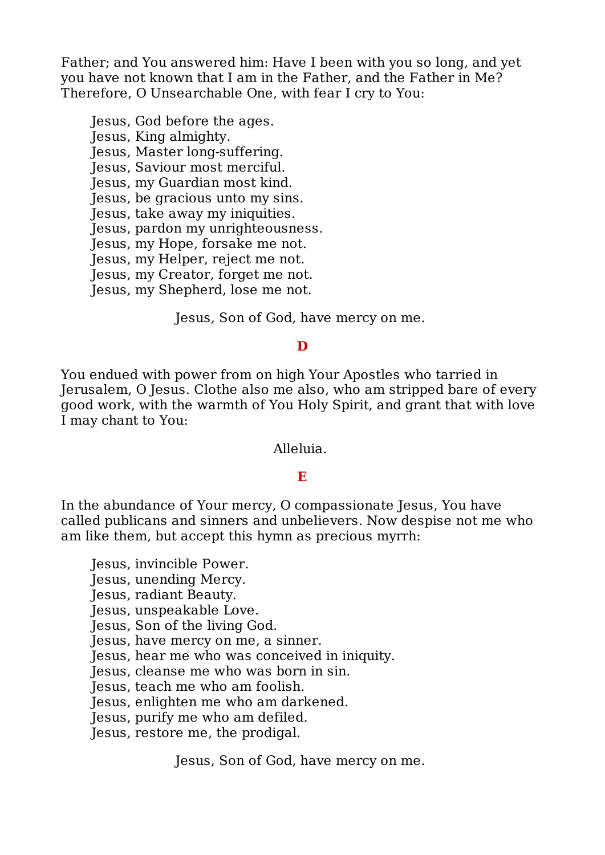Father; and You answered him: Have I been with you so long, and yet you have not known that I am in the Father, and the Father in Me? Therefore, O Unsearchable One, with fear I cry to You:

Jesus, God before the ages. Jesus, King almighty. Jesus, Master long-suffering. Jesus, Saviour most merciful. Jesus, my Guardian most kind. Jesus, be gracious unto my sins. Jesus, take away my iniquities. Jesus, pardon my unrighteousness. Jesus, my Hope, forsake me not. Jesus, my Helper, reject me not. Jesus, my Creator, forget me not. Jesus, my Shepherd, lose me not.

Jesus, Son of God, have mercy on me.

## **D**

You endued with power from on high Your Apostles who tarried in Jerusalem, O Jesus. Clothe also me also, who am stripped bare of every good work, with the warmth of You Holy Spirit, and grant that with love I may chant to You:

Alleluia.

## **E**

In the abundance of Your mercy, O compassionate Jesus, You have called publicans and sinners and unbelievers. Now despise not me who am like them, but accept this hymn as precious myrrh:

Jesus, invincible Power.

Jesus, unending Mercy.

Jesus, radiant Beauty.

Jesus, unspeakable Love.

Jesus, Son of the living God.

Jesus, have mercy on me, a sinner.

Jesus, hear me who was conceived in iniquity.

Jesus, cleanse me who was born in sin.

Jesus, teach me who am foolish.

Jesus, enlighten me who am darkened.

Jesus, purify me who am defiled.

Jesus, restore me, the prodigal.

Jesus, Son of God, have mercy on me.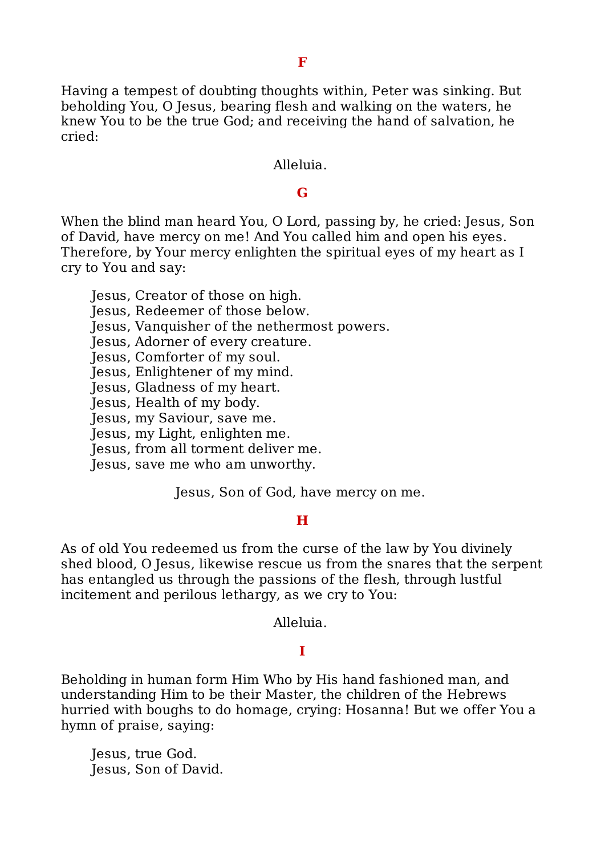Having a tempest of doubting thoughts within, Peter was sinking. But beholding You, O Jesus, bearing flesh and walking on the waters, he knew You to be the true God; and receiving the hand of salvation, he cried:

#### Alleluia.

#### **G**

When the blind man heard You, O Lord, passing by, he cried: Jesus, Son of David, have mercy on me! And You called him and open his eyes. Therefore, by Your mercy enlighten the spiritual eyes of my heart as I cry to You and say:

Jesus, Creator of those on high.

Jesus, Redeemer of those below.

Jesus, Vanquisher of the nethermost powers.

Jesus, Adorner of every creature.

Jesus, Comforter of my soul.

Jesus, Enlightener of my mind.

Jesus, Gladness of my heart.

Jesus, Health of my body.

Jesus, my Saviour, save me.

Jesus, my Light, enlighten me.

Jesus, from all torment deliver me.

Jesus, save me who am unworthy.

Jesus, Son of God, have mercy on me.

#### **H**

As of old You redeemed us from the curse of the law by You divinely shed blood, O Jesus, likewise rescue us from the snares that the serpent has entangled us through the passions of the flesh, through lustful incitement and perilous lethargy, as we cry to You:

Alleluia.

## **I**

Beholding in human form Him Who by His hand fashioned man, and understanding Him to be their Master, the children of the Hebrews hurried with boughs to do homage, crying: Hosanna! But we offer You a hymn of praise, saying:

Jesus, true God. Jesus, Son of David.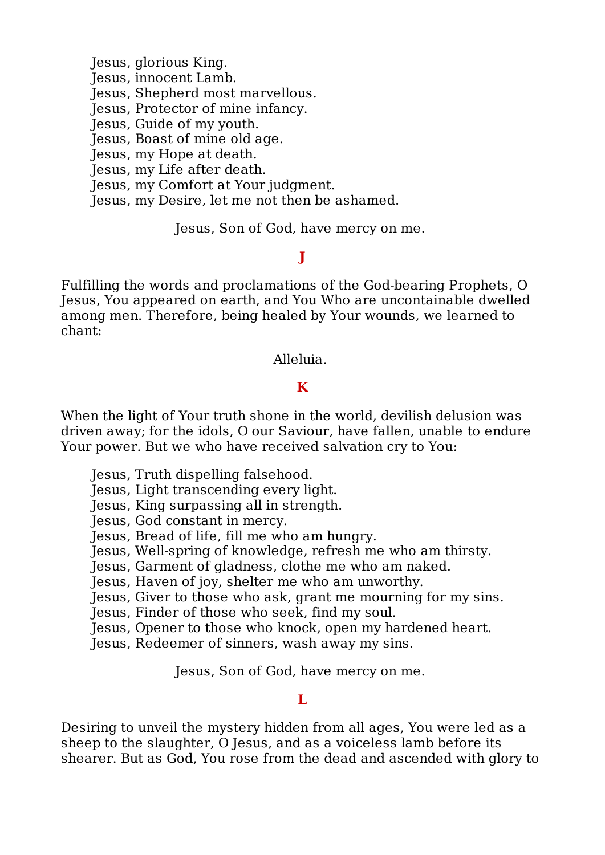Jesus, glorious King. Jesus, innocent Lamb. Jesus, Shepherd most marvellous. Jesus, Protector of mine infancy. Jesus, Guide of my youth. Jesus, Boast of mine old age. Jesus, my Hope at death. Jesus, my Life after death. Jesus, my Comfort at Your judgment. Jesus, my Desire, let me not then be ashamed.

Jesus, Son of God, have mercy on me.

## **J**

Fulfilling the words and proclamations of the God-bearing Prophets, O Jesus, You appeared on earth, and You Who are uncontainable dwelled among men. Therefore, being healed by Your wounds, we learned to chant:

Alleluia.

## **K**

When the light of Your truth shone in the world, devilish delusion was driven away; for the idols, O our Saviour, have fallen, unable to endure Your power. But we who have received salvation cry to You:

- Jesus, Truth dispelling falsehood.
- Jesus, Light transcending every light.
- Jesus, King surpassing all in strength.
- Jesus, God constant in mercy.
- Jesus, Bread of life, fill me who am hungry.
- Jesus, Well-spring of knowledge, refresh me who am thirsty.
- Jesus, Garment of gladness, clothe me who am naked.
- Jesus, Haven of joy, shelter me who am unworthy.
- Jesus, Giver to those who ask, grant me mourning for my sins.
- Jesus, Finder of those who seek, find my soul.
- Jesus, Opener to those who knock, open my hardened heart.
- Jesus, Redeemer of sinners, wash away my sins.

Jesus, Son of God, have mercy on me.

## **L**

Desiring to unveil the mystery hidden from all ages, You were led as a sheep to the slaughter, O Jesus, and as a voiceless lamb before its shearer. But as God, You rose from the dead and ascended with glory to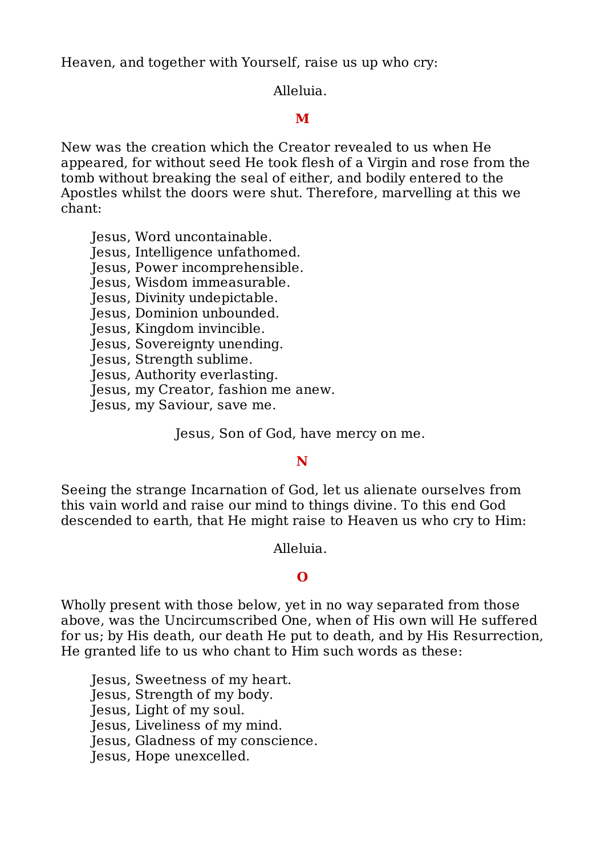Heaven, and together with Yourself, raise us up who cry:

Alleluia.

# **M**

New was the creation which the Creator revealed to us when He appeared, for without seed He took flesh of a Virgin and rose from the tomb without breaking the seal of either, and bodily entered to the Apostles whilst the doors were shut. Therefore, marvelling at this we chant:

Jesus, Word uncontainable.

Jesus, Intelligence unfathomed.

Jesus, Power incomprehensible.

Jesus, Wisdom immeasurable.

Jesus, Divinity undepictable.

Jesus, Dominion unbounded.

Jesus, Kingdom invincible.

Jesus, Sovereignty unending.

Jesus, Strength sublime.

Jesus, Authority everlasting.

Jesus, my Creator, fashion me anew.

Jesus, my Saviour, save me.

Jesus, Son of God, have mercy on me.

## **N**

Seeing the strange Incarnation of God, let us alienate ourselves from this vain world and raise our mind to things divine. To this end God descended to earth, that He might raise to Heaven us who cry to Him:

Alleluia.

## **O**

Wholly present with those below, yet in no way separated from those above, was the Uncircumscribed One, when of His own will He suffered for us; by His death, our death He put to death, and by His Resurrection, He granted life to us who chant to Him such words as these:

Jesus, Sweetness of my heart.

Jesus, Strength of my body.

Jesus, Light of my soul.

Jesus, Liveliness of my mind.

Jesus, Gladness of my conscience.

Jesus, Hope unexcelled.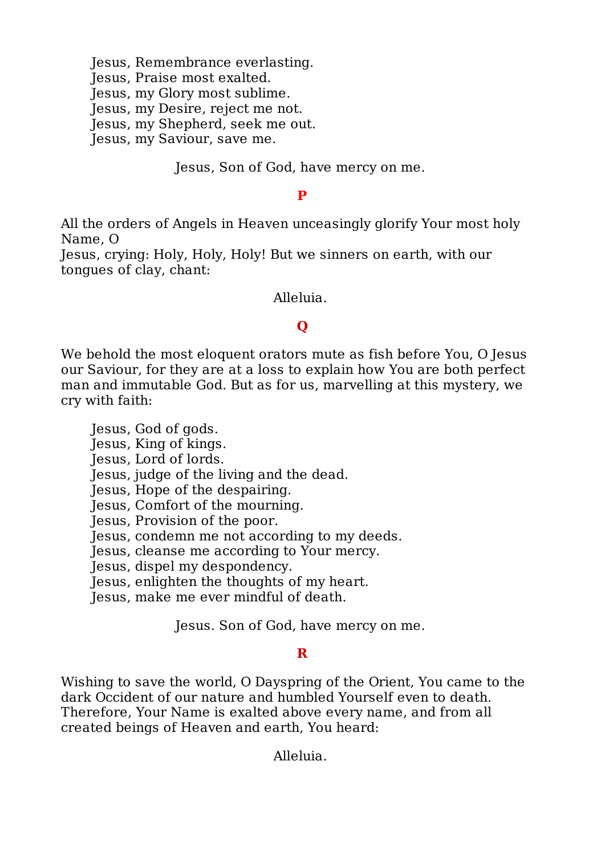Jesus, Remembrance everlasting. Jesus, Praise most exalted. Jesus, my Glory most sublime. Jesus, my Desire, reject me not. Jesus, my Shepherd, seek me out. Jesus, my Saviour, save me.

Jesus, Son of God, have mercy on me.

#### **P**

All the orders of Angels in Heaven unceasingly glorify Your most holy Name, O

Jesus, crying: Holy, Holy, Holy! But we sinners on earth, with our tongues of clay, chant:

Alleluia.

# **Q**

We behold the most eloquent orators mute as fish before You, O Jesus our Saviour, for they are at a loss to explain how You are both perfect man and immutable God. But as for us, marvelling at this mystery, we cry with faith:

Jesus, God of gods.

Jesus, King of kings.

Jesus, Lord of lords.

Jesus, judge of the living and the dead.

Jesus, Hope of the despairing.

Jesus, Comfort of the mourning.

Jesus, Provision of the poor.

Jesus, condemn me not according to my deeds.

Jesus, cleanse me according to Your mercy.

Jesus, dispel my despondency.

Jesus, enlighten the thoughts of my heart.

Jesus, make me ever mindful of death.

Jesus. Son of God, have mercy on me.

## **R**

Wishing to save the world, O Dayspring of the Orient, You came to the dark Occident of our nature and humbled Yourself even to death. Therefore, Your Name is exalted above every name, and from all created beings of Heaven and earth, You heard:

Alleluia.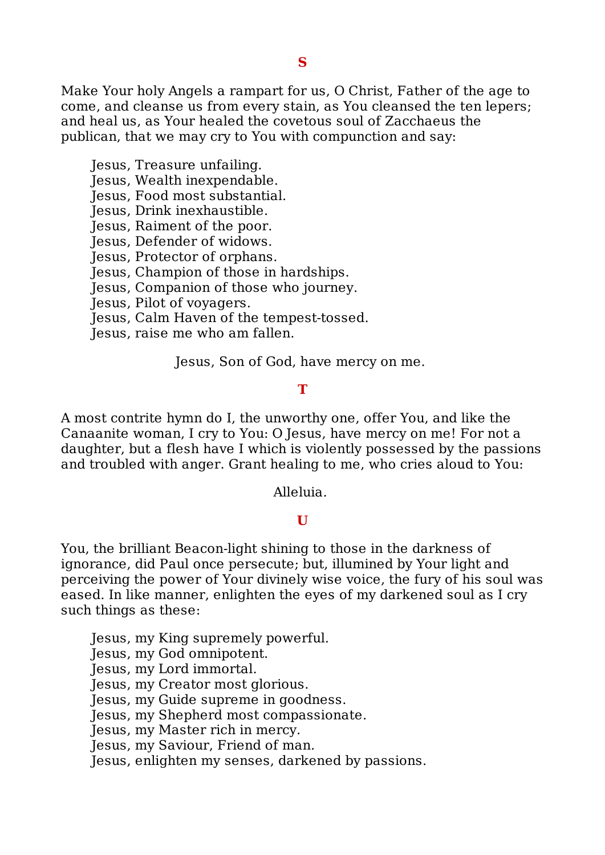Make Your holy Angels a rampart for us, O Christ, Father of the age to come, and cleanse us from every stain, as You cleansed the ten lepers; and heal us, as Your healed the covetous soul of Zacchaeus the publican, that we may cry to You with compunction and say:

Jesus, Treasure unfailing.

Jesus, Wealth inexpendable.

Jesus, Food most substantial.

Jesus, Drink inexhaustible.

Jesus, Raiment of the poor.

Jesus, Defender of widows.

Jesus, Protector of orphans.

Jesus, Champion of those in hardships.

Jesus, Companion of those who journey.

Jesus, Pilot of voyagers.

Jesus, Calm Haven of the tempest-tossed.

Jesus, raise me who am fallen.

Jesus, Son of God, have mercy on me.

#### **T**

A most contrite hymn do I, the unworthy one, offer You, and like the Canaanite woman, I cry to You: O Jesus, have mercy on me! For not a daughter, but a flesh have I which is violently possessed by the passions and troubled with anger. Grant healing to me, who cries aloud to You:

Alleluia.

#### **U**

You, the brilliant Beacon-light shining to those in the darkness of ignorance, did Paul once persecute; but, illumined by Your light and perceiving the power of Your divinely wise voice, the fury of his soul was eased. In like manner, enlighten the eyes of my darkened soul as I cry such things as these:

Jesus, my King supremely powerful.

Jesus, my God omnipotent.

Jesus, my Lord immortal.

Jesus, my Creator most glorious.

Jesus, my Guide supreme in goodness.

Jesus, my Shepherd most compassionate.

Jesus, my Master rich in mercy.

Jesus, my Saviour, Friend of man.

Jesus, enlighten my senses, darkened by passions.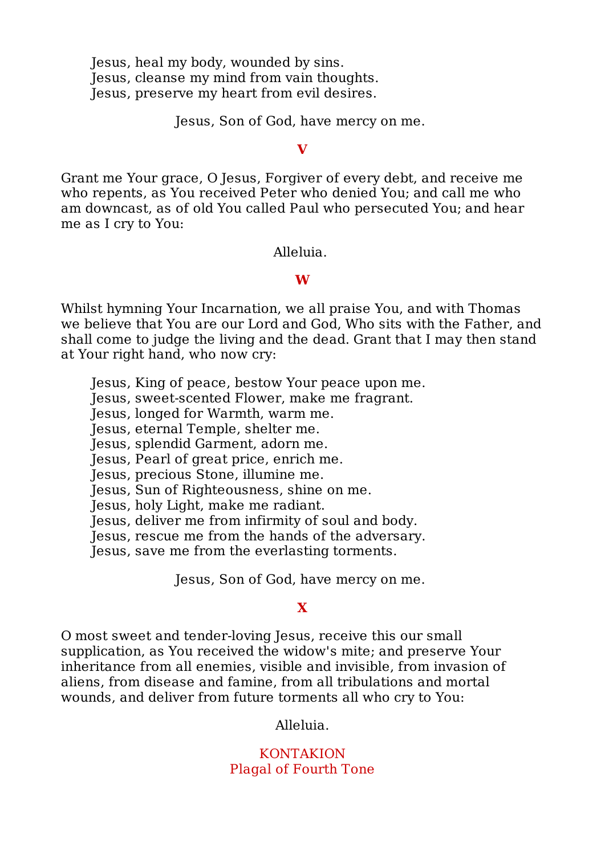Jesus, heal my body, wounded by sins. Jesus, cleanse my mind from vain thoughts. Jesus, preserve my heart from evil desires.

Jesus, Son of God, have mercy on me.

#### **V**

Grant me Your grace, O Jesus, Forgiver of every debt, and receive me who repents, as You received Peter who denied You; and call me who am downcast, as of old You called Paul who persecuted You; and hear me as I cry to You:

Alleluia.

## **W**

Whilst hymning Your Incarnation, we all praise You, and with Thomas we believe that You are our Lord and God, Who sits with the Father, and shall come to judge the living and the dead. Grant that I may then stand at Your right hand, who now cry:

- Jesus, King of peace, bestow Your peace upon me.
- Jesus, sweet-scented Flower, make me fragrant.
- Jesus, longed for Warmth, warm me.
- Jesus, eternal Temple, shelter me.
- Jesus, splendid Garment, adorn me.
- Jesus, Pearl of great price, enrich me.
- Jesus, precious Stone, illumine me.
- Jesus, Sun of Righteousness, shine on me.
- Jesus, holy Light, make me radiant.
- Jesus, deliver me from infirmity of soul and body.
- Jesus, rescue me from the hands of the adversary.
- Jesus, save me from the everlasting torments.

Jesus, Son of God, have mercy on me.

## **X**

O most sweet and tender-loving Jesus, receive this our small supplication, as You received the widow's mite; and preserve Your inheritance from all enemies, visible and invisible, from invasion of aliens, from disease and famine, from all tribulations and mortal wounds, and deliver from future torments all who cry to You:

Alleluia.

## KONTAKION Plagal of Fourth Tone